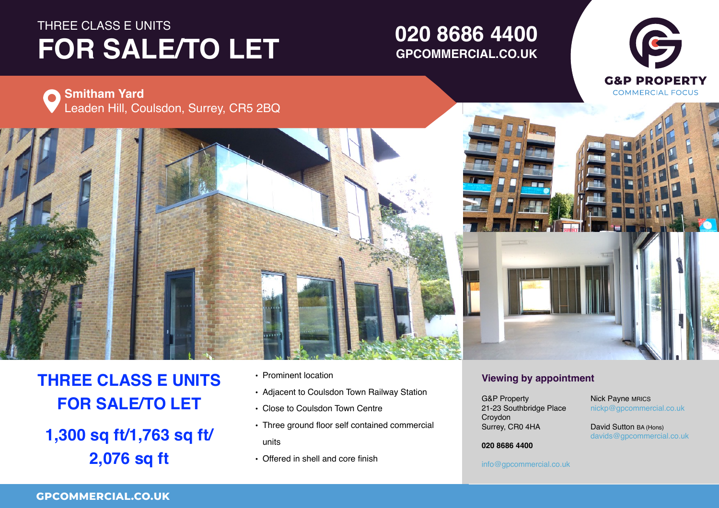# THREE CLASS E UNITS FOR SALE/TO LET

# **01234 567 890 GPCOMMERCIAL.CO.UK020 8686 4400**





# **THREE CLASS E UNITS FOR SALE/TO LET**

**1,300 sq ft/1,763 sq ft/ 2,076 sq ft**

- Prominent location
- Adjacent to Coulsdon Town Railway Station
- Close to Coulsdon Town Centre
- Three ground floor self contained commercial units
- Offered in shell and core finish

# **Viewing by appointment**

Surrey, CR0 4HA  $\ldots$ ,  $\ldots$ UB Property<br>21-23 Southbridge Place Property Croydon County, Postcode G&P Property

 $\frac{1}{\text{nickp}}$ @gpcommercial.co.uk Nick Payne MRICS

**Figure 1 David Sutton BA (Hons)**<br>Sultant 1 Email 2008  $\frac{1}{2}$ davids@gpcommercial.co.uk<br>.

Town **01234 567 890 020 8686 4400**

## **01234 567 890** info@gpcommercial.co.uk info@gpcommercial.co.uk

info@gpcommercial.co.uk